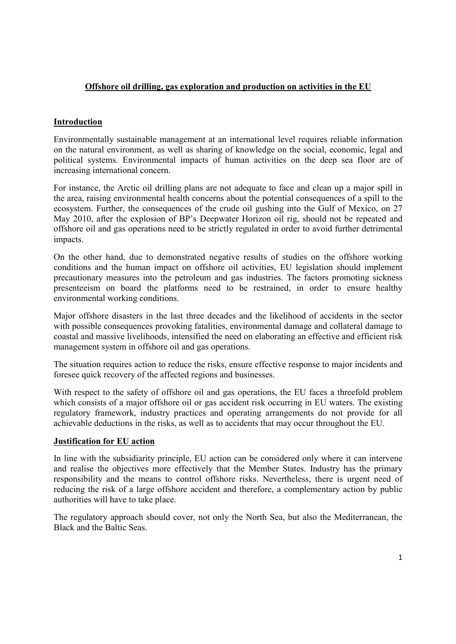# **Offshore oil drilling, gas exploration and production on activities in the EU**

# **Introduction**

Environmentally sustainable management at an international level requires reliable information on the natural environment, as well as sharing of knowledge on the social, economic, legal and political systems. Environmental impacts of human activities on the deep sea floor are of increasing international concern.

For instance, the Arctic oil drilling plans are not adequate to face and clean up a major spill in the area, raising environmental health concerns about the potential consequences of a spill to the ecosystem. Further, the consequences of the crude oil gushing into the Gulf of Mexico, on 27 May 2010, after the explosion of BP's Deepwater Horizon oil rig, should not be repeated and offshore oil and gas operations need to be strictly regulated in order to avoid further detrimental impacts.

On the other hand, due to demonstrated negative results of studies on the offshore working conditions and the human impact on offshore oil activities, EU legislation should implement precautionary measures into the petroleum and gas industries. The factors promoting sickness presenteeism on board the platforms need to be restrained, in order to ensure healthy environmental working conditions.

Major offshore disasters in the last three decades and the likelihood of accidents in the sector with possible consequences provoking fatalities, environmental damage and collateral damage to coastal and massive livelihoods, intensified the need on elaborating an effective and efficient risk management system in offshore oil and gas operations.

The situation requires action to reduce the risks, ensure effective response to major incidents and foresee quick recovery of the affected regions and businesses.

With respect to the safety of offshore oil and gas operations, the EU faces a threefold problem which consists of a major offshore oil or gas accident risk occurring in EU waters. The existing regulatory framework, industry practices and operating arrangements do not provide for all achievable deductions in the risks, as well as to accidents that may occur throughout the EU.

### **Justification for EU action**

In line with the subsidiarity principle, EU action can be considered only where it can intervene and realise the objectives more effectively that the Member States. Industry has the primary responsibility and the means to control offshore risks. Nevertheless, there is urgent need of reducing the risk of a large offshore accident and therefore, a complementary action by public authorities will have to take place.

The regulatory approach should cover, not only the North Sea, but also the Mediterranean, the Black and the Baltic Seas.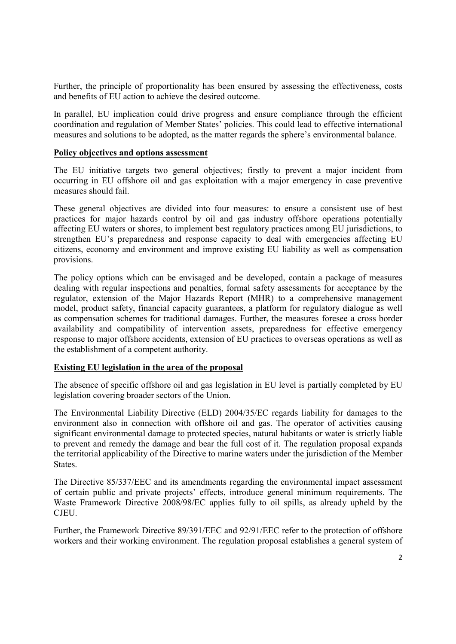Further, the principle of proportionality has been ensured by assessing the effectiveness, costs and benefits of EU action to achieve the desired outcome.

In parallel, EU implication could drive progress and ensure compliance through the efficient coordination and regulation of Member States' policies. This could lead to effective international measures and solutions to be adopted, as the matter regards the sphere's environmental balance.

#### **Policy objectives and options assessment**

The EU initiative targets two general objectives; firstly to prevent a major incident from occurring in EU offshore oil and gas exploitation with a major emergency in case preventive measures should fail.

These general objectives are divided into four measures: to ensure a consistent use of best practices for major hazards control by oil and gas industry offshore operations potentially affecting EU waters or shores, to implement best regulatory practices among EU jurisdictions, to strengthen EU's preparedness and response capacity to deal with emergencies affecting EU citizens, economy and environment and improve existing EU liability as well as compensation provisions.

The policy options which can be envisaged and be developed, contain a package of measures dealing with regular inspections and penalties, formal safety assessments for acceptance by the regulator, extension of the Major Hazards Report (MHR) to a comprehensive management model, product safety, financial capacity guarantees, a platform for regulatory dialogue as well as compensation schemes for traditional damages. Further, the measures foresee a cross border availability and compatibility of intervention assets, preparedness for effective emergency response to major offshore accidents, extension of EU practices to overseas operations as well as the establishment of a competent authority.

### **Existing EU legislation in the area of the proposal**

The absence of specific offshore oil and gas legislation in EU level is partially completed by EU legislation covering broader sectors of the Union.

The Environmental Liability Directive (ELD) 2004/35/EC regards liability for damages to the environment also in connection with offshore oil and gas. The operator of activities causing significant environmental damage to protected species, natural habitants or water is strictly liable to prevent and remedy the damage and bear the full cost of it. The regulation proposal expands the territorial applicability of the Directive to marine waters under the jurisdiction of the Member States.

The Directive 85/337/EEC and its amendments regarding the environmental impact assessment of certain public and private projects' effects, introduce general minimum requirements. The Waste Framework Directive 2008/98/EC applies fully to oil spills, as already upheld by the **CJEU** 

Further, the Framework Directive 89/391/EEC and 92/91/EEC refer to the protection of offshore workers and their working environment. The regulation proposal establishes a general system of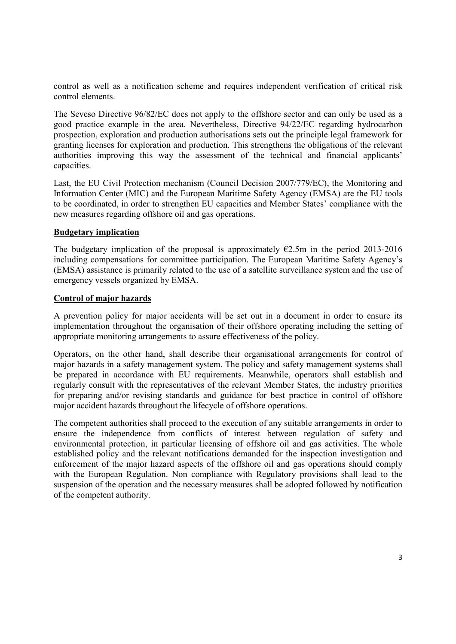control as well as a notification scheme and requires independent verification of critical risk control elements.

The Seveso Directive 96/82/EC does not apply to the offshore sector and can only be used as a good practice example in the area. Nevertheless, Directive 94/22/EC regarding hydrocarbon prospection, exploration and production authorisations sets out the principle legal framework for granting licenses for exploration and production. This strengthens the obligations of the relevant authorities improving this way the assessment of the technical and financial applicants' capacities.

Last, the EU Civil Protection mechanism (Council Decision 2007/779/EC), the Monitoring and Information Center (MIC) and the European Maritime Safety Agency (EMSA) are the EU tools to be coordinated, in order to strengthen EU capacities and Member States' compliance with the new measures regarding offshore oil and gas operations.

### **Budgetary implication**

The budgetary implication of the proposal is approximately  $E2.5m$  in the period 2013-2016 including compensations for committee participation. The European Maritime Safety Agency's (EMSA) assistance is primarily related to the use of a satellite surveillance system and the use of emergency vessels organized by EMSA.

### **Control of major hazards**

A prevention policy for major accidents will be set out in a document in order to ensure its implementation throughout the organisation of their offshore operating including the setting of appropriate monitoring arrangements to assure effectiveness of the policy.

Operators, on the other hand, shall describe their organisational arrangements for control of major hazards in a safety management system. The policy and safety management systems shall be prepared in accordance with EU requirements. Meanwhile, operators shall establish and regularly consult with the representatives of the relevant Member States, the industry priorities for preparing and/or revising standards and guidance for best practice in control of offshore major accident hazards throughout the lifecycle of offshore operations.

The competent authorities shall proceed to the execution of any suitable arrangements in order to ensure the independence from conflicts of interest between regulation of safety and environmental protection, in particular licensing of offshore oil and gas activities. The whole established policy and the relevant notifications demanded for the inspection investigation and enforcement of the major hazard aspects of the offshore oil and gas operations should comply with the European Regulation. Non compliance with Regulatory provisions shall lead to the suspension of the operation and the necessary measures shall be adopted followed by notification of the competent authority.